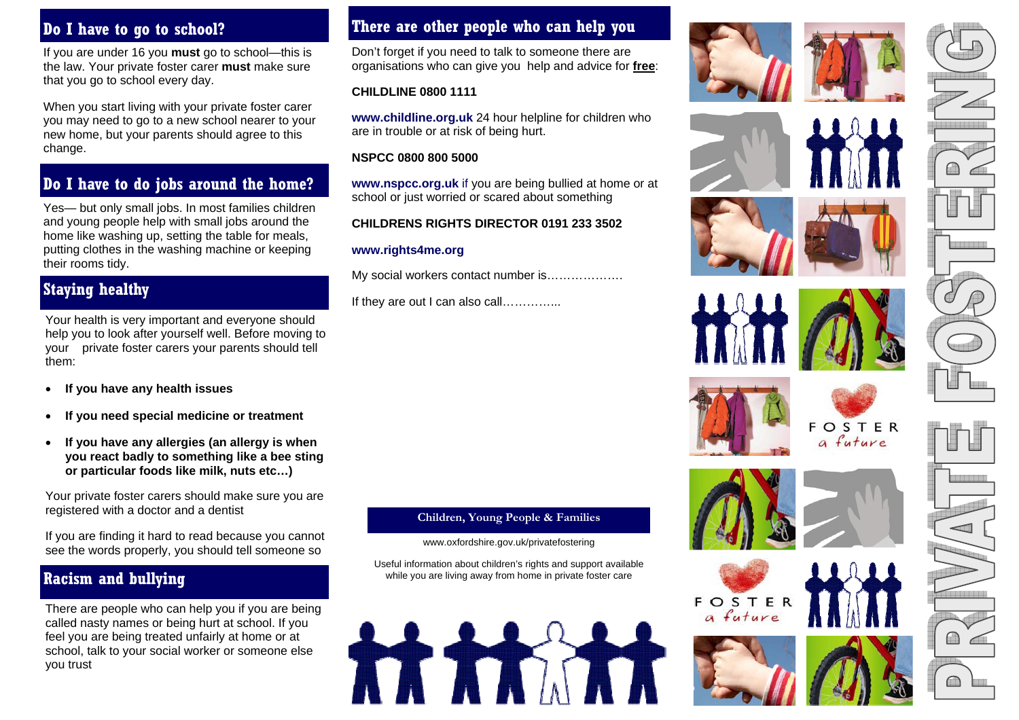# **Do I have to go to school?**

If you are under 16 you **must** go to school—this is the law. Your private foster carer **must** make sure that you go to school every day.

When you start living with your private foster carer you may need to go to a new school nearer to your new home, but your parents should agree to this change.

# **Do I have to do jobs around the home?**

Yes— but only small jobs. In most families children and young people help with small jobs around the home like washing up, setting the table for meals, putting clothes in the washing machine or keeping their rooms tidy.

### **Staying healthy**

Your health is very important and everyone should help you to look after yourself well. Before moving to your private foster carers your parents should tell them:

- **If you have any health issues**
- **If you need special medicine or treatment**
- **If you have any allergies (an allergy is when you react badly to something like a bee sting or particular foods like milk, nuts etc…)**

Your private foster carers should make sure you are registered with a doctor and a dentist

If you are finding it hard to read because you cannot see the words properly, you should tell someone so

# **Racism and bullying**

There are people who can help you if you are being called nasty names or being hurt at school. If you feel you are being treated unfairly at home or at school, talk to your social worker or someone else you trust

### **There are other people who can help you**

Don't forget if you need to talk to someone there are organisations who can give you help and advice for **free**:

### **CHILDLINE 0800 1111**

**www.childline.org.uk** 24 hour helpline for children who are in trouble or at risk of being hurt.

### **NSPCC 0800 800 5000**

**www.nspcc.org.uk** if you are being bullied at home or at school or just worried or scared about something

### **CHILDRENS RIGHTS DIRECTOR 0191 233 3502**

### **www.rights4me.org**

My social workers contact number is……………….

If they are out I can also call……………

### **Children, Young People & Families**

#### www.oxfordshire.gov.uk/privatefostering

Useful information about children's rights and support available while you are living away from home in private foster care

















a future